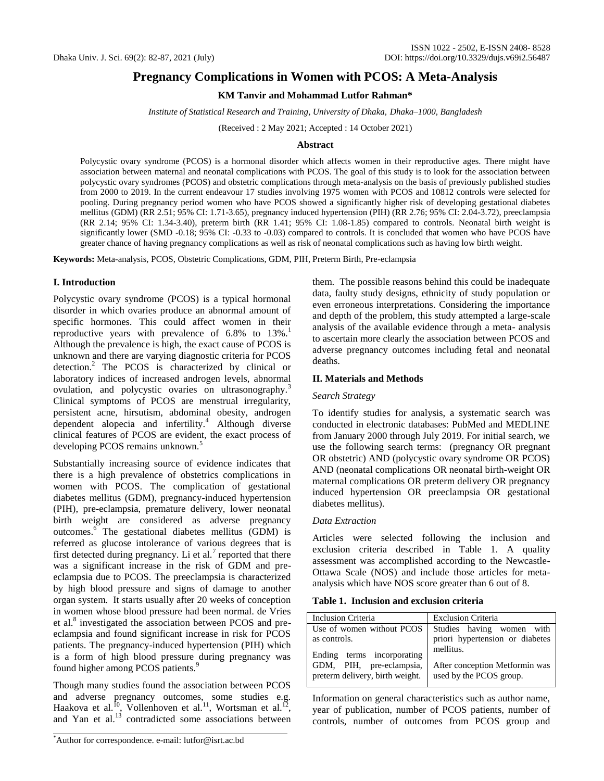# **Pregnancy Complications in Women with PCOS: A Meta-Analysis**

# **KM Tanvir and Mohammad Lutfor Rahman\***

*Institute of Statistical Research and Training, University of Dhaka, Dhaka–1000, Bangladesh*

(Received : 2 May 2021; Accepted : 14 October 2021)

# **Abstract**

Polycystic ovary syndrome (PCOS) is a hormonal disorder which affects women in their reproductive ages. There might have association between maternal and neonatal complications with PCOS. The goal of this study is to look for the association between polycystic ovary syndromes (PCOS) and obstetric complications through meta-analysis on the basis of previously published studies from 2000 to 2019. In the current endeavour 17 studies involving 1975 women with PCOS and 10812 controls were selected for pooling. During pregnancy period women who have PCOS showed a significantly higher risk of developing gestational diabetes mellitus (GDM) (RR 2.51; 95% CI: 1.71-3.65), pregnancy induced hypertension (PIH) (RR 2.76; 95% CI: 2.04-3.72), preeclampsia (RR 2.14; 95% CI: 1.34-3.40), preterm birth (RR 1.41; 95% CI: 1.08-1.85) compared to controls. Neonatal birth weight is significantly lower (SMD -0.18; 95% CI: -0.33 to -0.03) compared to controls. It is concluded that women who have PCOS have greater chance of having pregnancy complications as well as risk of neonatal complications such as having low birth weight.

**Keywords:** Meta-analysis, PCOS, Obstetric Complications, GDM, PIH, Preterm Birth, Pre-eclampsia

# **I. Introduction**

Polycystic ovary syndrome (PCOS) is a typical hormonal disorder in which ovaries produce an abnormal amount of specific hormones. This could affect women in their reproductive years with prevalence of  $6.8\%$  to  $13\%$ . Although the prevalence is high, the exact cause of PCOS is unknown and there are varying diagnostic criteria for PCOS detection.<sup>2</sup> The PCOS is characterized by clinical or laboratory indices of increased androgen levels, abnormal ovulation, and polycystic ovaries on ultrasonography.<sup>3</sup> Clinical symptoms of PCOS are menstrual irregularity, persistent acne, hirsutism, abdominal obesity, androgen dependent alopecia and infertility. $4$  Although diverse clinical features of PCOS are evident, the exact process of developing PCOS remains unknown.<sup>5</sup>

Substantially increasing source of evidence indicates that there is a high prevalence of obstetrics complications in women with PCOS. The complication of gestational diabetes mellitus (GDM), pregnancy-induced hypertension (PIH), pre-eclampsia, premature delivery, lower neonatal birth weight are considered as adverse pregnancy outcomes.<sup>6</sup> The gestational diabetes mellitus (GDM) is referred as glucose intolerance of various degrees that is first detected during pregnancy. Li et al.<sup>7</sup> reported that there was a significant increase in the risk of GDM and preeclampsia due to PCOS. The preeclampsia is characterized by high blood pressure and signs of damage to another organ system. It starts usually after 20 weeks of conception in women whose blood pressure had been normal. de Vries et al.<sup>8</sup> investigated the association between PCOS and preeclampsia and found significant increase in risk for PCOS patients. The pregnancy-induced hypertension (PIH) which is a form of high blood pressure during pregnancy was found higher among PCOS patients.<sup>9</sup>

Though many studies found the association between PCOS and adverse pregnancy outcomes, some studies e.g. Haakova et al.<sup>10</sup>, Vollenhoven et al.<sup>11</sup>, Wortsman et al.<sup>12</sup>, and Yan et al.<sup>13</sup> contradicted some associations between

them. The possible reasons behind this could be inadequate data, faulty study designs, ethnicity of study population or even erroneous interpretations. Considering the importance and depth of the problem, this study attempted a large-scale analysis of the available evidence through a meta- analysis to ascertain more clearly the association between PCOS and adverse pregnancy outcomes including fetal and neonatal deaths.

### **II. Materials and Methods**

### *Search Strategy*

To identify studies for analysis, a systematic search was conducted in electronic databases: PubMed and MEDLINE from January 2000 through July 2019. For initial search, we use the following search terms: (pregnancy OR pregnant OR obstetric) AND (polycystic ovary syndrome OR PCOS) AND (neonatal complications OR neonatal birth-weight OR maternal complications OR preterm delivery OR pregnancy induced hypertension OR preeclampsia OR gestational diabetes mellitus).

## *Data Extraction*

Articles were selected following the inclusion and exclusion criteria described in Table 1. A quality assessment was accomplished according to the Newcastle-Ottawa Scale (NOS) and include those articles for metaanalysis which have NOS score greater than 6 out of 8.

#### **Table 1. Inclusion and exclusion criteria**

| Inclusion Criteria                                          | <b>Exclusion Criteria</b>                                 |  |  |  |
|-------------------------------------------------------------|-----------------------------------------------------------|--|--|--|
| Use of women without PCOS                                   | Studies having women with                                 |  |  |  |
| as controls.                                                | priori hypertension or diabetes                           |  |  |  |
| Ending terms incorporating                                  | mellitus.                                                 |  |  |  |
| GDM, PIH, pre-eclampsia,<br>preterm delivery, birth weight. | After conception Metformin was<br>used by the PCOS group. |  |  |  |
|                                                             |                                                           |  |  |  |

Information on general characteristics such as author name, year of publication, number of PCOS patients, number of controls, number of outcomes from PCOS group and

<sup>\*</sup>Author for correspondence. e-mail: lutfor@isrt.ac.bd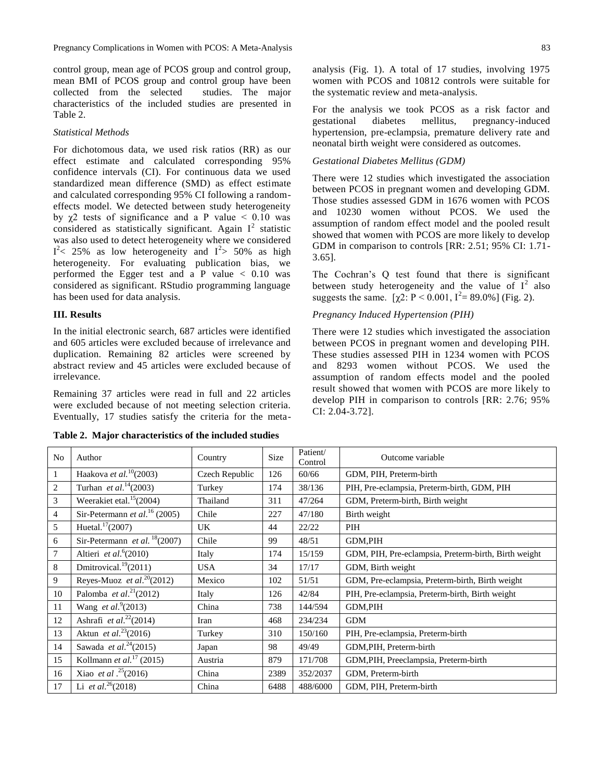control group, mean age of PCOS group and control group, mean BMI of PCOS group and control group have been collected from the selected studies. The major characteristics of the included studies are presented in Table 2.

### *Statistical Methods*

For dichotomous data, we used risk ratios (RR) as our effect estimate and calculated corresponding 95% confidence intervals (CI). For continuous data we used standardized mean difference (SMD) as effect estimate and calculated corresponding 95% CI following a randomeffects model. We detected between study heterogeneity by  $\chi$ 2 tests of significance and a P value < 0.10 was considered as statistically significant. Again  $I^2$  statistic was also used to detect heterogeneity where we considered  $I^2$  < 25% as low heterogeneity and  $I^2$  > 50% as high heterogeneity. For evaluating publication bias, we performed the Egger test and a P value < 0.10 was considered as significant. RStudio programming language has been used for data analysis.

# **III. Results**

In the initial electronic search, 687 articles were identified and 605 articles were excluded because of irrelevance and duplication. Remaining 82 articles were screened by abstract review and 45 articles were excluded because of irrelevance.

Remaining 37 articles were read in full and 22 articles were excluded because of not meeting selection criteria. Eventually, 17 studies satisfy the criteria for the meta-

**Table 2. Major characteristics of the included studies**

For the analysis we took PCOS as a risk factor and gestational diabetes mellitus, pregnancy-induced hypertension, pre-eclampsia, premature delivery rate and neonatal birth weight were considered as outcomes.

#### *Gestational Diabetes Mellitus (GDM)*

There were 12 studies which investigated the association between PCOS in pregnant women and developing GDM. Those studies assessed GDM in 1676 women with PCOS and 10230 women without PCOS. We used the assumption of random effect model and the pooled result showed that women with PCOS are more likely to develop GDM in comparison to controls [RR: 2.51; 95% CI: 1.71- 3.65].

The Cochran's Q test found that there is significant between study heterogeneity and the value of  $I^2$  also suggests the same.  $[\chi^2$ : P < 0.001, I<sup>2</sup> = 89.0%] (Fig. 2).

### *Pregnancy Induced Hypertension (PIH)*

There were 12 studies which investigated the association between PCOS in pregnant women and developing PIH. These studies assessed PIH in 1234 women with PCOS and 8293 women without PCOS. We used the assumption of random effects model and the pooled result showed that women with PCOS are more likely to develop PIH in comparison to controls [RR: 2.76; 95% CI: 2.04-3.72].

| No             | Author                                      | Country        | Size | Patient/<br>Control | Outcome variable                                     |
|----------------|---------------------------------------------|----------------|------|---------------------|------------------------------------------------------|
| 1              | Haakova <i>et al.</i> <sup>10</sup> (2003)  | Czech Republic | 126  | 60/66               | GDM, PIH, Preterm-birth                              |
| $\overline{2}$ | Turhan <i>et al.</i> <sup>14</sup> (2003)   | Turkey         | 174  | 38/136              | PIH, Pre-eclampsia, Preterm-birth, GDM, PIH          |
| 3              | Weerakiet etal. $15(2004)$                  | Thailand       | 311  | 47/264              | GDM, Preterm-birth, Birth weight                     |
| $\overline{4}$ | Sir-Petermann et al. <sup>16</sup> (2005)   | Chile          | 227  | 47/180              | Birth weight                                         |
| 5              | Huetal. <sup>17</sup> $(2007)$              | UK             | 44   | 22/22               | PIH                                                  |
| 6              | Sir-Petermann et al. $18(2007)$             | Chile          | 99   | 48/51               | GDM,PIH                                              |
| $\overline{7}$ | Altieri et al. $6(2010)$                    | Italy          | 174  | 15/159              | GDM, PIH, Pre-eclampsia, Preterm-birth, Birth weight |
| 8              | Dmitrovical. <sup>19</sup> $(2011)$         | <b>USA</b>     | 34   | 17/17               | GDM, Birth weight                                    |
| 9              | Reyes-Muoz et al. <sup>20</sup> (2012)      | Mexico         | 102  | 51/51               | GDM, Pre-eclampsia, Preterm-birth, Birth weight      |
| 10             | Palomba <i>et al.</i> <sup>21</sup> (2012)  | Italy          | 126  | 42/84               | PIH, Pre-eclampsia, Preterm-birth, Birth weight      |
| 11             | Wang <i>et al.</i> <sup>9</sup> (2013)      | China          | 738  | 144/594             | GDM,PIH                                              |
| 12             | Ashrafi <i>et al.</i> <sup>22</sup> (2014)  | Iran           | 468  | 234/234             | <b>GDM</b>                                           |
| 13             | Aktun <i>et al.</i> <sup>23</sup> (2016)    | Turkey         | 310  | 150/160             | PIH, Pre-eclampsia, Preterm-birth                    |
| 14             | Sawada <i>et al.</i> <sup>24</sup> (2015)   | Japan          | 98   | 49/49               | GDM, PIH, Preterm-birth                              |
| 15             | Kollmann <i>et al.</i> <sup>17</sup> (2015) | Austria        | 879  | 171/708             | GDM, PIH, Preeclampsia, Preterm-birth                |
| 16             | Xiao <i>et al</i> . <sup>25</sup> (2016)    | China          | 2389 | 352/2037            | GDM, Preterm-birth                                   |
| 17             | Li et al. <sup>26</sup> (2018)              | China          | 6488 | 488/6000            | GDM, PIH, Preterm-birth                              |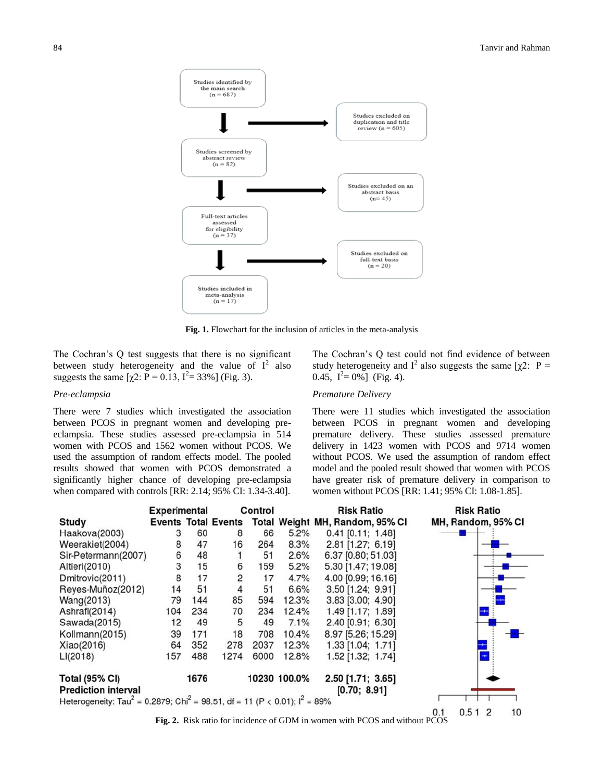

**Fig. 1.** Flowchart for the inclusion of articles in the meta-analysis

The Cochran's Q test suggests that there is no significant between study heterogeneity and the value of  $I^2$  also suggests the same  $[\chi^2$ : P = 0.13, I<sup>2</sup> = 33%] (Fig. 3).

#### *Pre-eclampsia*

There were 7 studies which investigated the association between PCOS in pregnant women and developing preeclampsia. These studies assessed pre-eclampsia in 514 women with PCOS and 1562 women without PCOS. We used the assumption of random effects model. The pooled results showed that women with PCOS demonstrated a significantly higher chance of developing pre-eclampsia when compared with controls [RR: 2.14; 95% CI: 1.34-3.40].

The Cochran's Q test could not find evidence of between study heterogeneity and I<sup>2</sup> also suggests the same [ $\chi$ 2: P = 0.45,  $I^2 = 0\%$ ] (Fig. 4).

#### *Premature Delivery*

There were 11 studies which investigated the association between PCOS in pregnant women and developing premature delivery. These studies assessed premature delivery in 1423 women with PCOS and 9714 women without PCOS. We used the assumption of random effect model and the pooled result showed that women with PCOS have greater risk of premature delivery in comparison to women without PCOS [RR: 1.41; 95% CI: 1.08-1.85].



**Fig. 2.** Risk ratio for incidence of GDM in women with PCOS and without PCOS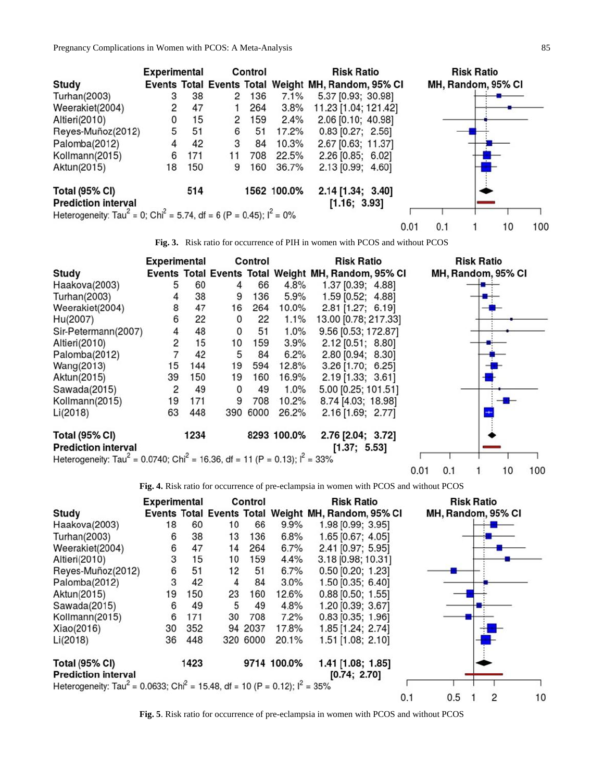

**Fig. 3.** Risk ratio for occurrence of PIH in women with PCOS and without PCOS

|                                                                                                     | <b>Experimental</b> |      |    | Control  |             | <b>Risk Ratio</b>                                   | <b>Risk Ratio</b>  |
|-----------------------------------------------------------------------------------------------------|---------------------|------|----|----------|-------------|-----------------------------------------------------|--------------------|
| Study                                                                                               |                     |      |    |          |             | Events Total Events Total Weight MH, Random, 95% CI | MH, Random, 95% CI |
| Haakova(2003)                                                                                       | 5                   | 60   | 4  | 66       | 4.8%        | 1.37 [0.39; 4.88]                                   |                    |
| Turhan(2003)                                                                                        |                     | 38   | 9  | 136      | 5.9%        | 1.59 [0.52; 4.88]                                   |                    |
| Weerakiet(2004)                                                                                     | 8                   | 47   | 16 | 264      | 10.0%       | 2.81 [1.27; 6.19]                                   |                    |
| Hu(2007)                                                                                            | 6                   | 22   | 0  | 22       | 1.1%        | 13.00 [0.78; 217.33]                                |                    |
| Sir-Petermann(2007)                                                                                 | 4                   | 48   | 0  | 51       | 1.0%        | 9.56 [0.53; 172.87]                                 |                    |
| Altieri(2010)                                                                                       | 2                   | 15   | 10 | 159      | 3.9%        | 2.12 [0.51; 8.80]                                   |                    |
| Palomba(2012)                                                                                       | 7                   | 42   | 5  | 84       | 6.2%        | 2.80 [0.94; 8.30]                                   |                    |
| Wang(2013)                                                                                          | 15                  | 144  | 19 | 594      | 12.8%       | 3.26 [1.70; 6.25]                                   |                    |
| Aktun(2015)                                                                                         | 39                  | 150  | 19 | 160      | 16.9%       | 2.19 [1.33; 3.61]                                   |                    |
| Sawada(2015)                                                                                        | 2                   | 49   | 0  | 49       | 1.0%        | 5.00 [0.25; 101.51]                                 |                    |
| Kollmann(2015)                                                                                      | 19                  | 171  | 9  | 708      | 10.2%       | 8.74 [4.03; 18.98]                                  |                    |
| Li(2018)                                                                                            | 63                  | 448  |    | 390 6000 | 26.2%       | 2.16 [1.69; 2.77]                                   |                    |
| <b>Total (95% CI)</b>                                                                               |                     | 1234 |    |          | 8293 100.0% | 2.76 [2.04; 3.72]                                   |                    |
| <b>Prediction interval</b>                                                                          |                     |      |    |          |             | [1.37; 5.53]                                        |                    |
| Heterogeneity: Tau <sup>2</sup> = 0.0740; Chi <sup>2</sup> = 16.36, df = 11 (P = 0.13); $I^2$ = 33% |                     |      |    |          |             |                                                     |                    |

**Fig. 4.** Risk ratio for occurrence of pre-eclampsia in women with PCOS and without PCOS

 $0.01$ 

 $0.1$ 

 $\mathbf{1}$ 

10

100

|                                                                                                     | <b>Experimental</b> |      |    | Control  |             | <b>Risk Ratio</b>                                   |     | <b>Risk Ratio</b>  |
|-----------------------------------------------------------------------------------------------------|---------------------|------|----|----------|-------------|-----------------------------------------------------|-----|--------------------|
| Study                                                                                               |                     |      |    |          |             | Events Total Events Total Weight MH, Random, 95% CI |     | MH, Random, 95% CI |
| Haakova(2003)                                                                                       | 18                  | 60   | 10 | 66       | 9.9%        | 1.98 [0.99; 3.95]                                   |     |                    |
| Turhan(2003)                                                                                        | 6                   | 38   | 13 | 136      | 6.8%        | 1.65 [0.67; 4.05]                                   |     |                    |
| Weerakiet(2004)                                                                                     | 6                   | 47   | 14 | 264      | 6.7%        | 2.41 [0.97; 5.95]                                   |     |                    |
| Altieri(2010)                                                                                       | 3                   | 15   | 10 | 159      | 4.4%        | 3.18 [0.98; 10.31]                                  |     |                    |
| Reyes-Muñoz(2012)                                                                                   | 6                   | 51   | 12 | 51       | 6.7%        | $0.50$ [0.20; 1.23]                                 |     |                    |
| Palomba(2012)                                                                                       | 3                   | 42   | 4  | 84       | 3.0%        | 1.50 [0.35; 6.40]                                   |     |                    |
| Aktun(2015)                                                                                         | 19                  | 150  | 23 | 160      | 12.6%       | $0.88$ [0.50; 1.55]                                 |     |                    |
| Sawada(2015)                                                                                        | 6                   | 49   | 5  | 49       | 4.8%        | 1.20 [0.39; 3.67]                                   |     |                    |
| Kollmann(2015)                                                                                      | 6                   | 171  | 30 | 708      | 7.2%        | $0.83$ [0.35; 1.96]                                 |     |                    |
| Xiao(2016)                                                                                          | 30                  | 352  |    | 94 2037  | 17.8%       | 1.85 [1.24; 2.74]                                   |     |                    |
| Li(2018)                                                                                            | 36                  | 448  |    | 320 6000 | 20.1%       | 1.51 [1.08; 2.10]                                   |     |                    |
| <b>Total (95% CI)</b>                                                                               |                     | 1423 |    |          | 9714 100.0% | 1.41 [1.08; 1.85]                                   |     |                    |
| <b>Prediction interval</b>                                                                          |                     |      |    |          |             | [0.74; 2.70]                                        |     |                    |
| Heterogeneity: Tau <sup>2</sup> = 0.0633; Chi <sup>2</sup> = 15.48, df = 10 (P = 0.12); $I^2$ = 35% |                     |      |    |          |             |                                                     |     |                    |
|                                                                                                     |                     |      |    |          |             |                                                     | 0.1 | 0.5<br>2           |

**Fig. 5**. Risk ratio for occurrence of pre-eclampsia in women with PCOS and without PCOS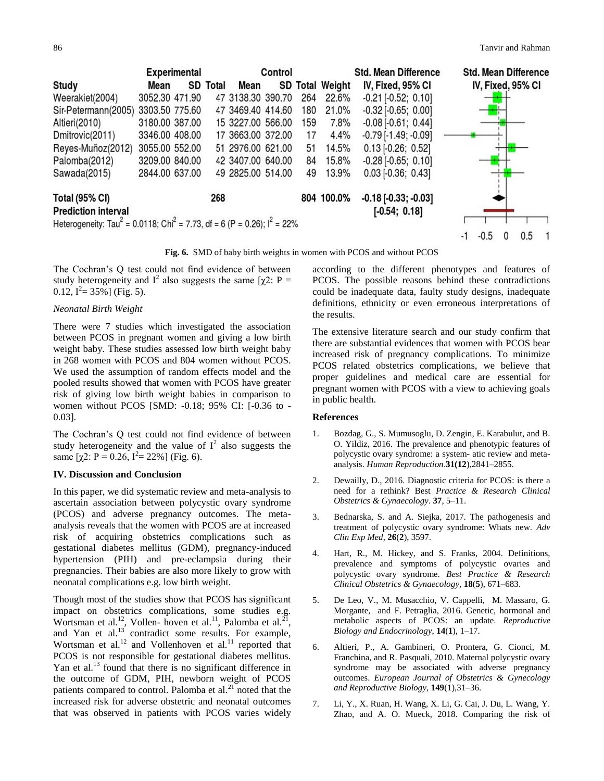

**Fig. 6.** SMD of baby birth weights in women with PCOS and without PCOS

The Cochran's Q test could not find evidence of between study heterogeneity and  $I^2$  also suggests the same [ $\chi$ 2: P =  $0.12, I^2 = 35\%$ ] (Fig. 5).

# *Neonatal Birth Weight*

There were 7 studies which investigated the association between PCOS in pregnant women and giving a low birth weight baby. These studies assessed low birth weight baby in 268 women with PCOS and 804 women without PCOS. We used the assumption of random effects model and the pooled results showed that women with PCOS have greater risk of giving low birth weight babies in comparison to women without PCOS [SMD: -0.18; 95% CI: [-0.36 to - 0.03].

The Cochran's Q test could not find evidence of between study heterogeneity and the value of  $I^2$  also suggests the same  $[\chi^2$ : P = 0.26, I<sup>2</sup> = 22%] (Fig. 6).

### **IV. Discussion and Conclusion**

In this paper, we did systematic review and meta-analysis to ascertain association between polycystic ovary syndrome (PCOS) and adverse pregnancy outcomes. The metaanalysis reveals that the women with PCOS are at increased risk of acquiring obstetrics complications such as gestational diabetes mellitus (GDM), pregnancy-induced hypertension (PIH) and pre-eclampsia during their pregnancies. Their babies are also more likely to grow with neonatal complications e.g. low birth weight.

Though most of the studies show that PCOS has significant impact on obstetrics complications, some studies e.g. Wortsman et al.<sup>12</sup>, Vollen- hoven et al.<sup>11</sup>, Palomba et al.<sup>21</sup>, and Yan et al. $^{13}$  contradict some results. For example, Wortsman et al.<sup>12</sup> and Vollenhoven et al.<sup>11</sup> reported that PCOS is not responsible for gestational diabetes mellitus. Yan et al.<sup>13</sup> found that there is no significant difference in the outcome of GDM, PIH, newborn weight of PCOS patients compared to control. Palomba et al. $^{21}$  noted that the increased risk for adverse obstetric and neonatal outcomes that was observed in patients with PCOS varies widely

according to the different phenotypes and features of PCOS. The possible reasons behind these contradictions could be inadequate data, faulty study designs, inadequate definitions, ethnicity or even erroneous interpretations of the results.

The extensive literature search and our study confirm that there are substantial evidences that women with PCOS bear increased risk of pregnancy complications. To minimize PCOS related obstetrics complications, we believe that proper guidelines and medical care are essential for pregnant women with PCOS with a view to achieving goals in public health.

#### **References**

- 1. Bozdag, G., S. Mumusoglu, D. Zengin, E. Karabulut, and B. O. Yildiz, 2016. The prevalence and phenotypic features of polycystic ovary syndrome: a system- atic review and metaanalysis. *Human Reproduction*.**31(12**),2841–2855.
- 2. Dewailly, D., 2016. Diagnostic criteria for PCOS: is there a need for a rethink? Best *Practice & Research Clinical Obstetrics & Gynaecology*. **37**, 5–11.
- 3. Bednarska, S. and A. Siejka, 2017. The pathogenesis and treatment of polycystic ovary syndrome: Whats new. *Adv Clin Exp Med*, **26**(**2**), 3597.
- 4. Hart, R., M. Hickey, and S. Franks, 2004. Definitions, prevalence and symptoms of polycystic ovaries and polycystic ovary syndrome. *Best Practice & Research Clinical Obstetrics & Gynaecology,* **18**(**5**), 671–683.
- 5. De Leo, V., M. Musacchio, V. Cappelli, M. Massaro, G. Morgante, and F. Petraglia, 2016. Genetic, hormonal and metabolic aspects of PCOS: an update. *Reproductive Biology and Endocrinology*, **14**(**1**), 1–17.
- 6. Altieri, P., A. Gambineri, O. Prontera, G. Cionci, M. Franchina, and R. Pasquali, 2010. Maternal polycystic ovary syndrome may be associated with adverse pregnancy outcomes. *European Journal of Obstetrics & Gynecology and Reproductive Biology*, **149**(1),31–36.
- 7. Li, Y., X. Ruan, H. Wang, X. Li, G. Cai, J. Du, L. Wang, Y. Zhao, and A. O. Mueck, 2018. Comparing the risk of